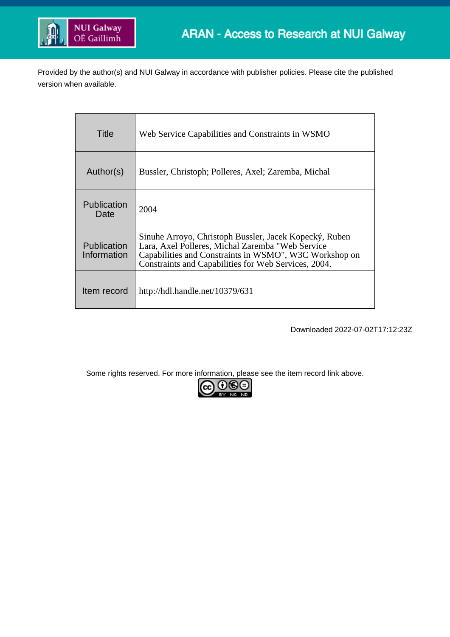

Provided by the author(s) and NUI Galway in accordance with publisher policies. Please cite the published version when available.

| Title                             | Web Service Capabilities and Constraints in WSMO                                                                                                                                                                             |
|-----------------------------------|------------------------------------------------------------------------------------------------------------------------------------------------------------------------------------------------------------------------------|
| Author(s)                         | Bussler, Christoph; Polleres, Axel; Zaremba, Michal                                                                                                                                                                          |
| Publication<br>Date               | 2004                                                                                                                                                                                                                         |
| <b>Publication</b><br>Information | Sinuhe Arroyo, Christoph Bussler, Jacek Kopecký, Ruben<br>Lara, Axel Polleres, Michal Zaremba "Web Service<br>Capabilities and Constraints in WSMO", W3C Workshop on<br>Constraints and Capabilities for Web Services, 2004. |
| Item record                       | http://hdl.handle.net/10379/631                                                                                                                                                                                              |

Downloaded 2022-07-02T17:12:23Z

Some rights reserved. For more information, please see the item record link above.

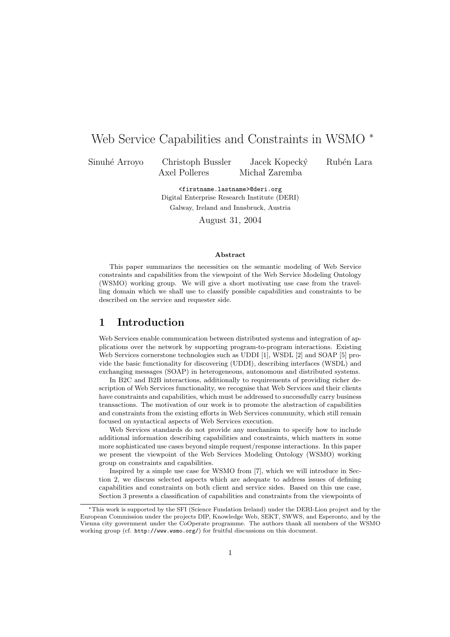# Web Service Capabilities and Constraints in WSMO <sup>∗</sup>

Sinuhé Arroyo Christoph Bussler Jacek Kopecký Rubén Lara Axel Polleres Michał Zaremba

<firstname.lastname>@deri.org Digital Enterprise Research Institute (DERI) Galway, Ireland and Innsbruck, Austria

August 31, 2004

#### Abstract

This paper summarizes the necessities on the semantic modeling of Web Service constraints and capabilities from the viewpoint of the Web Service Modeling Ontology (WSMO) working group. We will give a short motivating use case from the travelling domain which we shall use to classify possible capabilities and constraints to be described on the service and requester side.

### 1 Introduction

Web Services enable communication between distributed systems and integration of applications over the network by supporting program-to-program interactions. Existing Web Services cornerstone technologies such as UDDI [1], WSDL [2] and SOAP [5] provide the basic functionality for discovering (UDDI), describing interfaces (WSDL) and exchanging messages (SOAP) in heterogeneous, autonomous and distributed systems.

In B2C and B2B interactions, additionally to requirements of providing richer description of Web Services functionality, we recognise that Web Services and their clients have constraints and capabilities, which must be addressed to successfully carry business transactions. The motivation of our work is to promote the abstraction of capabilities and constraints from the existing efforts in Web Services community, which still remain focused on syntactical aspects of Web Services execution.

Web Services standards do not provide any mechanism to specify how to include additional information describing capabilities and constraints, which matters in some more sophisticated use cases beyond simple request/response interactions. In this paper we present the viewpoint of the Web Services Modeling Ontology (WSMO) working group on constraints and capabilities.

Inspired by a simple use case for WSMO from [7], which we will introduce in Section 2, we discuss selected aspects which are adequate to address issues of defining capabilities and constraints on both client and service sides. Based on this use case, Section 3 presents a classification of capabilities and constraints from the viewpoints of

<sup>∗</sup>This work is supported by the SFI (Science Fundation Ireland) under the DERI-Lion project and by the European Commission under the projects DIP, Knowledge Web, SEKT, SWWS, and Esperonto, and by the Vienna city government under the CoOperate programme. The authors thank all members of the WSMO working group (cf. http://www.wsmo.org/) for fruitful discussions on this document.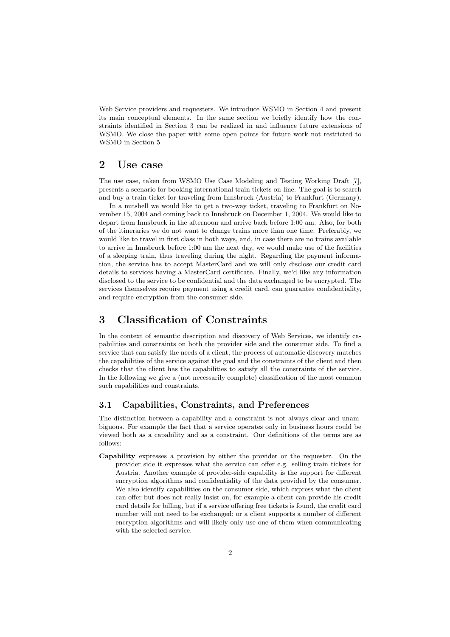Web Service providers and requesters. We introduce WSMO in Section 4 and present its main conceptual elements. In the same section we briefly identify how the constraints identified in Section 3 can be realized in and influence future extensions of WSMO. We close the paper with some open points for future work not restricted to WSMO in Section 5

### 2 Use case

The use case, taken from WSMO Use Case Modeling and Testing Working Draft [7], presents a scenario for booking international train tickets on-line. The goal is to search and buy a train ticket for traveling from Innsbruck (Austria) to Frankfurt (Germany).

In a nutshell we would like to get a two-way ticket, traveling to Frankfurt on November 15, 2004 and coming back to Innsbruck on December 1, 2004. We would like to depart from Innsbruck in the afternoon and arrive back before 1:00 am. Also, for both of the itineraries we do not want to change trains more than one time. Preferably, we would like to travel in first class in both ways, and, in case there are no trains available to arrive in Innsbruck before 1:00 am the next day, we would make use of the facilities of a sleeping train, thus traveling during the night. Regarding the payment information, the service has to accept MasterCard and we will only disclose our credit card details to services having a MasterCard certificate. Finally, we'd like any information disclosed to the service to be confidential and the data exchanged to be encrypted. The services themselves require payment using a credit card, can guarantee confidentiality, and require encryption from the consumer side.

## 3 Classification of Constraints

In the context of semantic description and discovery of Web Services, we identify capabilities and constraints on both the provider side and the consumer side. To find a service that can satisfy the needs of a client, the process of automatic discovery matches the capabilities of the service against the goal and the constraints of the client and then checks that the client has the capabilities to satisfy all the constraints of the service. In the following we give a (not necessarily complete) classification of the most common such capabilities and constraints.

### 3.1 Capabilities, Constraints, and Preferences

The distinction between a capability and a constraint is not always clear and unambiguous. For example the fact that a service operates only in business hours could be viewed both as a capability and as a constraint. Our definitions of the terms are as follows:

Capability expresses a provision by either the provider or the requester. On the provider side it expresses what the service can offer e.g. selling train tickets for Austria. Another example of provider-side capability is the support for different encryption algorithms and confidentiality of the data provided by the consumer. We also identify capabilities on the consumer side, which express what the client can offer but does not really insist on, for example a client can provide his credit card details for billing, but if a service offering free tickets is found, the credit card number will not need to be exchanged; or a client supports a number of different encryption algorithms and will likely only use one of them when communicating with the selected service.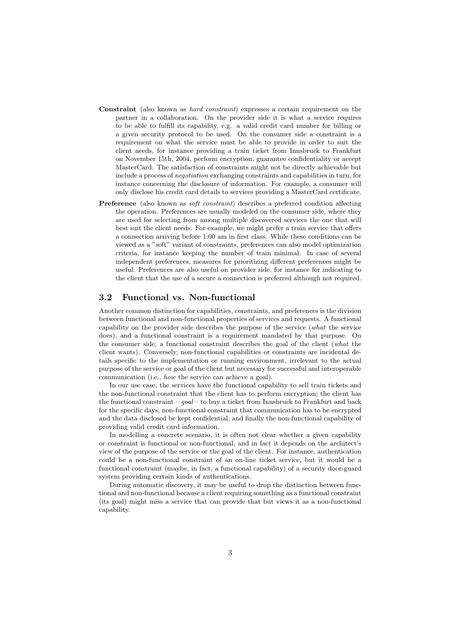- Constraint (also known as hard constraint) expresses a certain requirement on the partner in a collaboration. On the provider side it is what a service requires to be able to fulfill its capability, e.g. a valid credit card number for billing or a given security protocol to be used. On the consumer side a constraint is a requirement on what the service must be able to provide in order to suit the client needs, for instance providing a train ticket from Innsbruck to Frankfurt on November 15th, 2004, perform encryption, guarantee confidentiality or accept MasterCard. The satisfaction of constraints might not be directly achievable but include a process of negotiation exchanging constraints and capabilities in turn, for instance concerning the disclosure of information. For example, a consumer will only disclose his credit card details to services providing a MasterCard certificate.
- Preference (also known as *soft constraint*) describes a preferred condition affecting the operation. Preferences are usually modeled on the consumer side, where they are used for selecting from among multiple discovered services the one that will best suit the client needs. For example, we might prefer a train service that offers a connection arriving before 1:00 am in first class. While these conditions can be viewed as a "soft" variant of constraints, preferences can also model optimization criteria, for instance keeping the number of train minimal. In case of several independent preferences, measures for prioritizing different preferences might be useful. Preferences are also useful on provider side, for instance for indicating to the client that the use of a secure a connection is preferred although not required.

#### 3.2 Functional vs. Non-functional

Another common distinction for capabilities, constraints, and preferences is the division between functional and non-functional properties of services and requests. A functional capability on the provider side describes the purpose of the service (what the service does), and a functional constraint is a requirement mandated by that purpose. On the consumer side, a functional constraint describes the goal of the client (what the client wants). Conversely, non-functional capabilities or constraints are incidental details specific to the implementation or running environment, irrelevant to the actual purpose of the service or goal of the client but necessary for successful and interoperable communication (i.e., how the service can achieve a goal).

In our use case, the services have the functional capability to sell train tickets and the non-functional constraint that the client has to perform encryption; the client has the functional constraint –  $qoal$  – to buy a ticket from Innsbruck to Frankfurt and back for the specific days, non-functional constraint that communication has to be encrypted and the data disclosed be kept confidential, and finally the non-functional capability of providing valid credit card information.

In modelling a concrete scenario, it is often not clear whether a given capability or constraint is functional or non-functional, and in fact it depends on the architect's view of the purpose of the service or the goal of the client. For instance, authentication could be a non-functional constraint of an on-line ticket service, but it would be a functional constraint (maybe, in fact, a functional capability) of a security door-guard system providing certain kinds of authentications.

During automatic discovery, it may be useful to drop the distinction between functional and non-functional because a client requiring something as a functional constraint (its goal) might miss a service that can provide that but views it as a non-functional capability.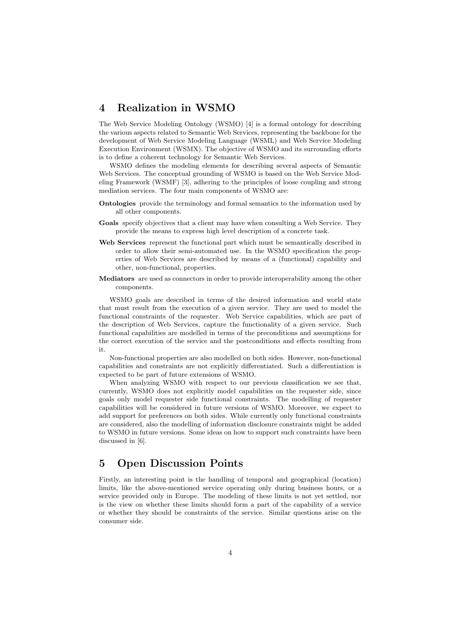### 4 Realization in WSMO

The Web Service Modeling Ontology (WSMO) [4] is a formal ontology for describing the various aspects related to Semantic Web Services, representing the backbone for the development of Web Service Modeling Language (WSML) and Web Service Modeling Execution Environment (WSMX). The objective of WSMO and its surrounding efforts is to define a coherent technology for Semantic Web Services.

WSMO defines the modeling elements for describing several aspects of Semantic Web Services. The conceptual grounding of WSMO is based on the Web Service Modeling Framework (WSMF) [3], adhering to the principles of loose coupling and strong mediation services. The four main components of WSMO are:

- Ontologies provide the terminology and formal semantics to the information used by all other components.
- Goals specify objectives that a client may have when consulting a Web Service. They provide the means to express high level description of a concrete task.
- Web Services represent the functional part which must be semantically described in order to allow their semi-automated use. In the WSMO specification the properties of Web Services are described by means of a (functional) capability and other, non-functional, properties.
- Mediators are used as connectors in order to provide interoperability among the other components.

WSMO goals are described in terms of the desired information and world state that must result from the execution of a given service. They are used to model the functional constraints of the requester. Web Service capabilities, which are part of the description of Web Services, capture the functionality of a given service. Such functional capabilities are modelled in terms of the preconditions and assumptions for the correct execution of the service and the postconditions and effects resulting from it.

Non-functional properties are also modelled on both sides. However, non-functional capabilities and constraints are not explicitly differentiated. Such a differentiation is expected to be part of future extensions of WSMO.

When analyzing WSMO with respect to our previous classification we see that, currently, WSMO does not explicitly model capabilities on the requester side, since goals only model requester side functional constraints. The modelling of requester capabilities will be considered in future versions of WSMO. Moreover, we expect to add support for preferences on both sides. While currently only functional constraints are considered, also the modelling of information disclosure constraints might be added to WSMO in future versions. Some ideas on how to support such constraints have been discussed in [6].

## 5 Open Discussion Points

Firstly, an interesting point is the handling of temporal and geographical (location) limits, like the above-mentioned service operating only during business hours, or a service provided only in Europe. The modeling of these limits is not yet settled, nor is the view on whether these limits should form a part of the capability of a service or whether they should be constraints of the service. Similar questions arise on the consumer side.